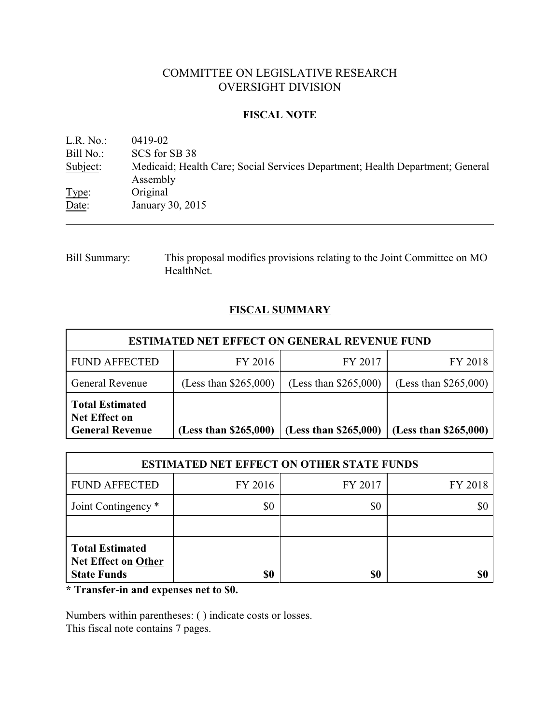# COMMITTEE ON LEGISLATIVE RESEARCH OVERSIGHT DIVISION

## **FISCAL NOTE**

| L.R. No.  | 0419-02                                                                                   |
|-----------|-------------------------------------------------------------------------------------------|
| Bill No.: | SCS for SB 38                                                                             |
| Subject:  | Medicaid; Health Care; Social Services Department; Health Department; General<br>Assembly |
| Type:     | Original                                                                                  |
| Date:     | January 30, 2015                                                                          |

Bill Summary: This proposal modifies provisions relating to the Joint Committee on MO HealthNet.

# **FISCAL SUMMARY**

| <b>ESTIMATED NET EFFECT ON GENERAL REVENUE FUND</b>                      |                         |                         |                         |  |
|--------------------------------------------------------------------------|-------------------------|-------------------------|-------------------------|--|
| <b>FUND AFFECTED</b>                                                     | FY 2016                 | FY 2017                 | FY 2018                 |  |
| <b>General Revenue</b>                                                   | (Less than $$265,000$ ) | (Less than $$265,000$ ) | (Less than $$265,000$ ) |  |
| <b>Total Estimated</b><br><b>Net Effect on</b><br><b>General Revenue</b> | (Less than \$265,000)   | (Less than \$265,000)   | (Less than \$265,000)   |  |

| <b>ESTIMATED NET EFFECT ON OTHER STATE FUNDS</b>                           |         |         |         |  |
|----------------------------------------------------------------------------|---------|---------|---------|--|
| <b>FUND AFFECTED</b>                                                       | FY 2016 | FY 2017 | FY 2018 |  |
| Joint Contingency *                                                        | \$0     | \$0     |         |  |
|                                                                            |         |         |         |  |
| <b>Total Estimated</b><br><b>Net Effect on Other</b><br><b>State Funds</b> | \$0     | \$0     |         |  |

**\* Transfer-in and expenses net to \$0.**

Numbers within parentheses: ( ) indicate costs or losses. This fiscal note contains 7 pages.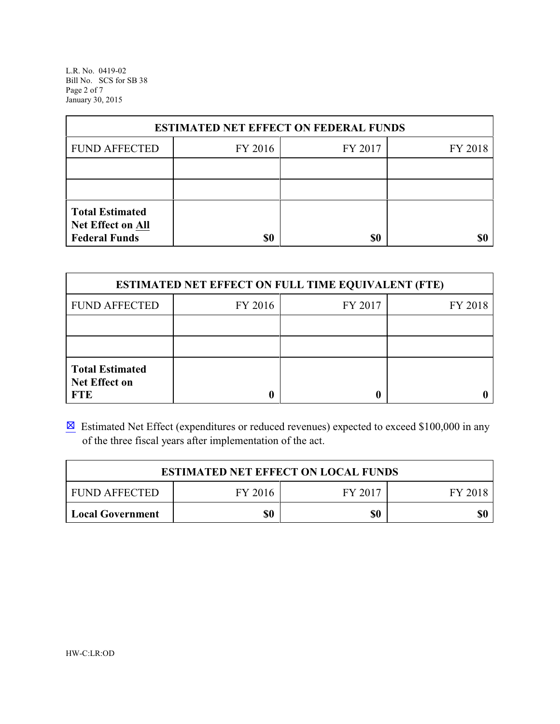L.R. No. 0419-02 Bill No. SCS for SB 38 Page 2 of 7 January 30, 2015

| <b>ESTIMATED NET EFFECT ON FEDERAL FUNDS</b>       |         |         |         |  |
|----------------------------------------------------|---------|---------|---------|--|
| <b>FUND AFFECTED</b>                               | FY 2016 | FY 2017 | FY 2018 |  |
|                                                    |         |         |         |  |
|                                                    |         |         |         |  |
| <b>Total Estimated</b><br><b>Net Effect on All</b> |         |         |         |  |
| <b>Federal Funds</b>                               | \$0     | \$0     |         |  |

| <b>ESTIMATED NET EFFECT ON FULL TIME EQUIVALENT (FTE)</b>    |         |         |         |  |
|--------------------------------------------------------------|---------|---------|---------|--|
| <b>FUND AFFECTED</b>                                         | FY 2016 | FY 2017 | FY 2018 |  |
|                                                              |         |         |         |  |
|                                                              |         |         |         |  |
| <b>Total Estimated</b><br><b>Net Effect on</b><br><b>FTE</b> |         |         |         |  |

 $\boxtimes$  Estimated Net Effect (expenditures or reduced revenues) expected to exceed \$100,000 in any of the three fiscal years after implementation of the act.

| <b>ESTIMATED NET EFFECT ON LOCAL FUNDS</b> |         |         |         |  |
|--------------------------------------------|---------|---------|---------|--|
| <b>FUND AFFECTED</b>                       | FY 2016 | FY 2017 | FY 2018 |  |
| Local Government                           | \$0     | \$0     | \$0     |  |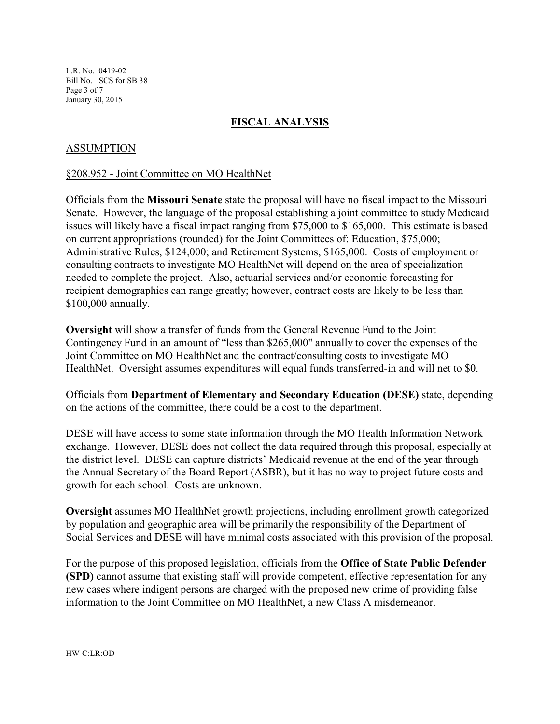L.R. No. 0419-02 Bill No. SCS for SB 38 Page 3 of 7 January 30, 2015

# **FISCAL ANALYSIS**

## ASSUMPTION

#### §208.952 - Joint Committee on MO HealthNet

Officials from the **Missouri Senate** state the proposal will have no fiscal impact to the Missouri Senate. However, the language of the proposal establishing a joint committee to study Medicaid issues will likely have a fiscal impact ranging from \$75,000 to \$165,000. This estimate is based on current appropriations (rounded) for the Joint Committees of: Education, \$75,000; Administrative Rules, \$124,000; and Retirement Systems, \$165,000. Costs of employment or consulting contracts to investigate MO HealthNet will depend on the area of specialization needed to complete the project. Also, actuarial services and/or economic forecasting for recipient demographics can range greatly; however, contract costs are likely to be less than \$100,000 annually.

**Oversight** will show a transfer of funds from the General Revenue Fund to the Joint Contingency Fund in an amount of "less than \$265,000" annually to cover the expenses of the Joint Committee on MO HealthNet and the contract/consulting costs to investigate MO HealthNet. Oversight assumes expenditures will equal funds transferred-in and will net to \$0.

Officials from **Department of Elementary and Secondary Education (DESE)** state, depending on the actions of the committee, there could be a cost to the department.

DESE will have access to some state information through the MO Health Information Network exchange. However, DESE does not collect the data required through this proposal, especially at the district level. DESE can capture districts' Medicaid revenue at the end of the year through the Annual Secretary of the Board Report (ASBR), but it has no way to project future costs and growth for each school. Costs are unknown.

**Oversight** assumes MO HealthNet growth projections, including enrollment growth categorized by population and geographic area will be primarily the responsibility of the Department of Social Services and DESE will have minimal costs associated with this provision of the proposal.

For the purpose of this proposed legislation, officials from the **Office of State Public Defender (SPD)** cannot assume that existing staff will provide competent, effective representation for any new cases where indigent persons are charged with the proposed new crime of providing false information to the Joint Committee on MO HealthNet, a new Class A misdemeanor.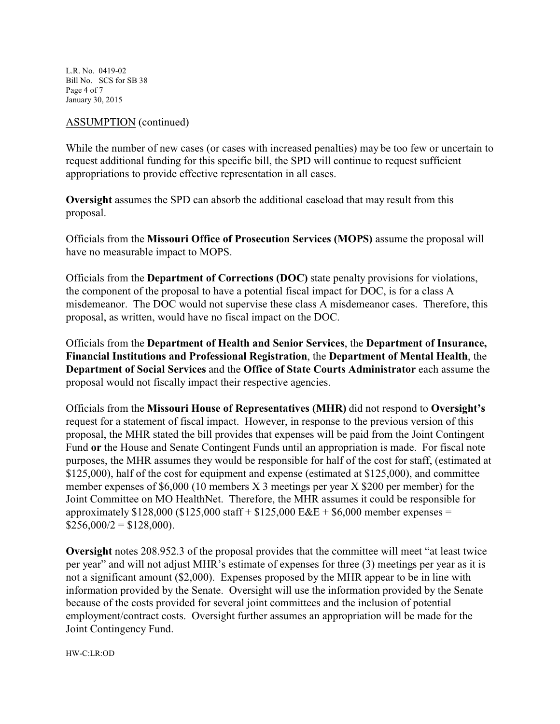L.R. No. 0419-02 Bill No. SCS for SB 38 Page 4 of 7 January 30, 2015

#### ASSUMPTION (continued)

While the number of new cases (or cases with increased penalties) may be too few or uncertain to request additional funding for this specific bill, the SPD will continue to request sufficient appropriations to provide effective representation in all cases.

**Oversight** assumes the SPD can absorb the additional caseload that may result from this proposal.

Officials from the **Missouri Office of Prosecution Services (MOPS)** assume the proposal will have no measurable impact to MOPS.

Officials from the **Department of Corrections (DOC)** state penalty provisions for violations, the component of the proposal to have a potential fiscal impact for DOC, is for a class A misdemeanor. The DOC would not supervise these class A misdemeanor cases. Therefore, this proposal, as written, would have no fiscal impact on the DOC.

Officials from the **Department of Health and Senior Services**, the **Department of Insurance, Financial Institutions and Professional Registration**, the **Department of Mental Health**, the **Department of Social Services** and the **Office of State Courts Administrator** each assume the proposal would not fiscally impact their respective agencies.

Officials from the **Missouri House of Representatives (MHR)** did not respond to **Oversight's** request for a statement of fiscal impact. However, in response to the previous version of this proposal, the MHR stated the bill provides that expenses will be paid from the Joint Contingent Fund **or** the House and Senate Contingent Funds until an appropriation is made. For fiscal note purposes, the MHR assumes they would be responsible for half of the cost for staff, (estimated at \$125,000), half of the cost for equipment and expense (estimated at \$125,000), and committee member expenses of \$6,000 (10 members X 3 meetings per year X \$200 per member) for the Joint Committee on MO HealthNet. Therefore, the MHR assumes it could be responsible for approximately  $$128,000$  ( $$125,000$  staff +  $$125,000$  E&E +  $$6,000$  member expenses =  $$256,000/2 = $128,000$ .

**Oversight** notes 208.952.3 of the proposal provides that the committee will meet "at least twice per year" and will not adjust MHR's estimate of expenses for three (3) meetings per year as it is not a significant amount (\$2,000). Expenses proposed by the MHR appear to be in line with information provided by the Senate. Oversight will use the information provided by the Senate because of the costs provided for several joint committees and the inclusion of potential employment/contract costs. Oversight further assumes an appropriation will be made for the Joint Contingency Fund.

HW-C:LR:OD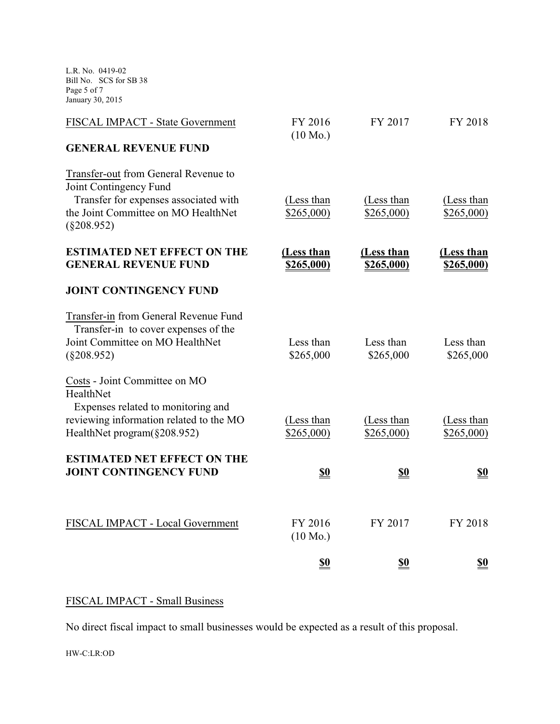L.R. No. 0419-02 Bill No. SCS for SB 38 Page 5 of 7 January 30, 2015

| FISCAL IMPACT - State Government                                                                                                               | FY 2016<br>$(10 \text{ Mo.})$   | FY 2017                  | FY 2018                         |
|------------------------------------------------------------------------------------------------------------------------------------------------|---------------------------------|--------------------------|---------------------------------|
| <b>GENERAL REVENUE FUND</b>                                                                                                                    |                                 |                          |                                 |
| Transfer-out from General Revenue to<br>Joint Contingency Fund<br>Transfer for expenses associated with<br>the Joint Committee on MO HealthNet | (Less than<br>\$265,000         | (Less than<br>\$265,000) | (Less than<br>\$265,000         |
| $(\$208.952)$                                                                                                                                  |                                 |                          |                                 |
| <b>ESTIMATED NET EFFECT ON THE</b><br><b>GENERAL REVENUE FUND</b>                                                                              | (Less than<br><u>\$265,000)</u> | (Less than<br>\$265,000) | (Less than<br><u>\$265,000)</u> |
| <b>JOINT CONTINGENCY FUND</b>                                                                                                                  |                                 |                          |                                 |
| Transfer-in from General Revenue Fund<br>Transfer-in to cover expenses of the<br>Joint Committee on MO HealthNet<br>$(\$208.952)$              | Less than<br>\$265,000          | Less than<br>\$265,000   | Less than<br>\$265,000          |
| Costs - Joint Committee on MO<br>HealthNet<br>Expenses related to monitoring and                                                               |                                 |                          |                                 |
| reviewing information related to the MO<br>HealthNet program(§208.952)                                                                         | (Less than<br>\$265,000)        | (Less than<br>\$265,000  | (Less than<br>\$265,000         |
| <b>ESTIMATED NET EFFECT ON THE</b><br><b>JOINT CONTINGENCY FUND</b>                                                                            | <u>\$0</u>                      | <u>\$0</u>               | <u>\$0</u>                      |
| FISCAL IMPACT - Local Government                                                                                                               | FY 2016<br>$(10 \text{ Mo.})$   | FY 2017                  | FY 2018                         |
|                                                                                                                                                | <u>\$0</u>                      | <u>\$0</u>               | <u>\$0</u>                      |

# FISCAL IMPACT - Small Business

No direct fiscal impact to small businesses would be expected as a result of this proposal.

HW-C:LR:OD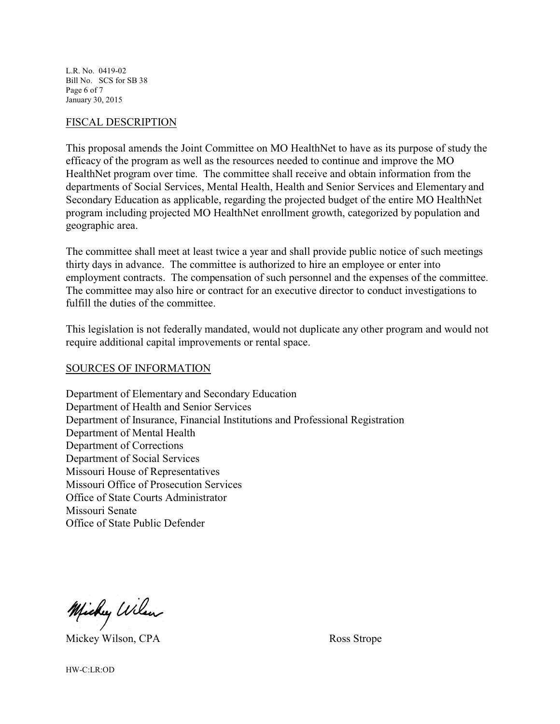L.R. No. 0419-02 Bill No. SCS for SB 38 Page 6 of 7 January 30, 2015

#### FISCAL DESCRIPTION

This proposal amends the Joint Committee on MO HealthNet to have as its purpose of study the efficacy of the program as well as the resources needed to continue and improve the MO HealthNet program over time. The committee shall receive and obtain information from the departments of Social Services, Mental Health, Health and Senior Services and Elementary and Secondary Education as applicable, regarding the projected budget of the entire MO HealthNet program including projected MO HealthNet enrollment growth, categorized by population and geographic area.

The committee shall meet at least twice a year and shall provide public notice of such meetings thirty days in advance. The committee is authorized to hire an employee or enter into employment contracts. The compensation of such personnel and the expenses of the committee. The committee may also hire or contract for an executive director to conduct investigations to fulfill the duties of the committee.

This legislation is not federally mandated, would not duplicate any other program and would not require additional capital improvements or rental space.

## SOURCES OF INFORMATION

Department of Elementary and Secondary Education Department of Health and Senior Services Department of Insurance, Financial Institutions and Professional Registration Department of Mental Health Department of Corrections Department of Social Services Missouri House of Representatives Missouri Office of Prosecution Services Office of State Courts Administrator Missouri Senate Office of State Public Defender

Michy Wilson

Mickey Wilson, CPA Ross Strope

HW-C:LR:OD